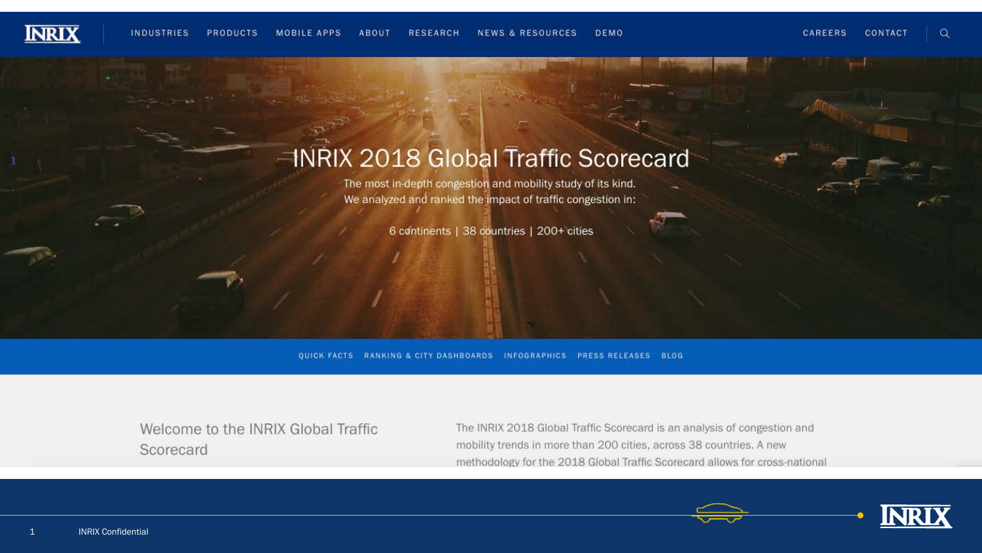

#### **HNRIX 2018 Global Traffic Scorecard**

The most in-depth congestion and mobility study of its kind. We analyzed and ranked the impact of traffic congestion in:

6 continents | 38 countries | 200+ cities

QUICK FACTS RANKING & CITY DASHBOARDS INFOGRAPHICS PRESS RELEASES BLOG

Welcome to the INRIX Global Traffic Scorecard

The INRIX 2018 Global Traffic Scorecard is an analysis of congestion and mobility trends in more than 200 cities, across 38 countries. A new methodology for the 2018 Global Traffic Scorecard allows for cross-national

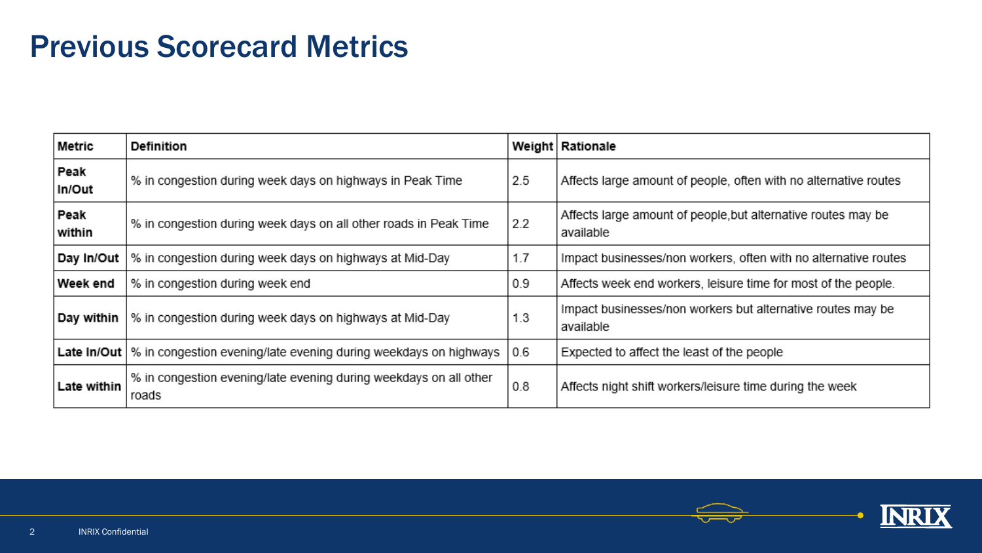## Previous Scorecard Metrics

| Metric         | <b>Definition</b>                                                          |     | Weight   Rationale                                                         |
|----------------|----------------------------------------------------------------------------|-----|----------------------------------------------------------------------------|
| Peak<br>In/Out | % in congestion during week days on highways in Peak Time                  | 2.5 | Affects large amount of people, often with no alternative routes           |
| Peak<br>within | % in congestion during week days on all other roads in Peak Time           | 2.2 | Affects large amount of people, but alternative routes may be<br>available |
| Day In/Out     | % in congestion during week days on highways at Mid-Day                    | 1.7 | Impact businesses/non workers, often with no alternative routes            |
| Week end       | % in congestion during week end                                            | 0.9 | Affects week end workers, leisure time for most of the people.             |
| Day within     | % in congestion during week days on highways at Mid-Day                    | 1.3 | Impact businesses/non workers but alternative routes may be<br>available   |
| Late In/Out    | % in congestion evening/late evening during weekdays on highways           | 0.6 | Expected to affect the least of the people                                 |
| Late within    | % in congestion evening/late evening during weekdays on all other<br>roads | 0.8 | Affects night shift workers/leisure time during the week                   |

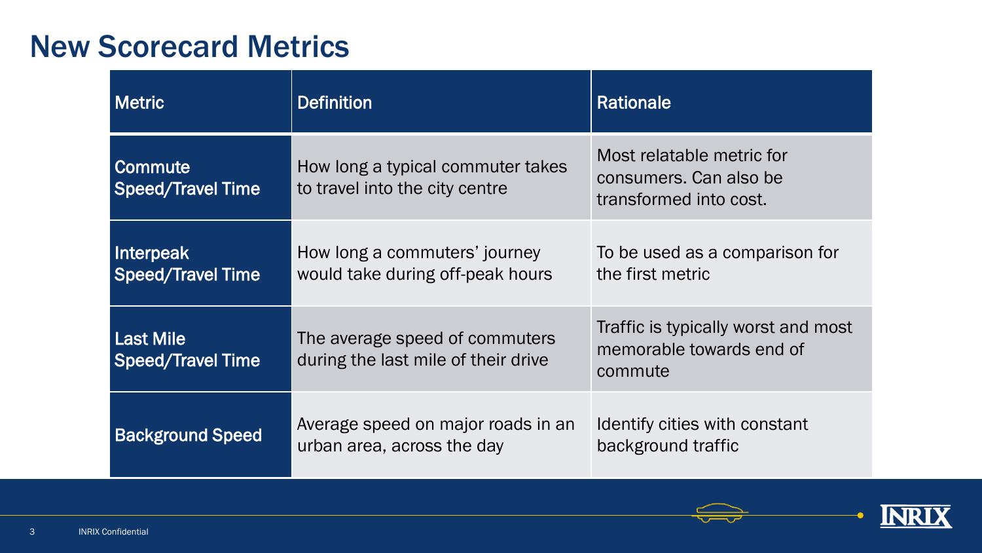### New Scorecard Metrics

| <b>Metric</b>                                | <b>Definition</b>                                                     | <b>Rationale</b>                                                              |
|----------------------------------------------|-----------------------------------------------------------------------|-------------------------------------------------------------------------------|
| <b>Commute</b><br><b>Speed/Travel Time</b>   | How long a typical commuter takes<br>to travel into the city centre   | Most relatable metric for<br>consumers. Can also be<br>transformed into cost. |
| Interpeak<br><b>Speed/Travel Time</b>        | How long a commuters' journey<br>would take during off-peak hours     | To be used as a comparison for<br>the first metric                            |
| <b>Last Mile</b><br><b>Speed/Travel Time</b> | The average speed of commuters<br>during the last mile of their drive | Traffic is typically worst and most<br>memorable towards end of<br>commute    |
| <b>Background Speed</b>                      | Average speed on major roads in an<br>urban area, across the day      | Identify cities with constant<br>background traffic                           |

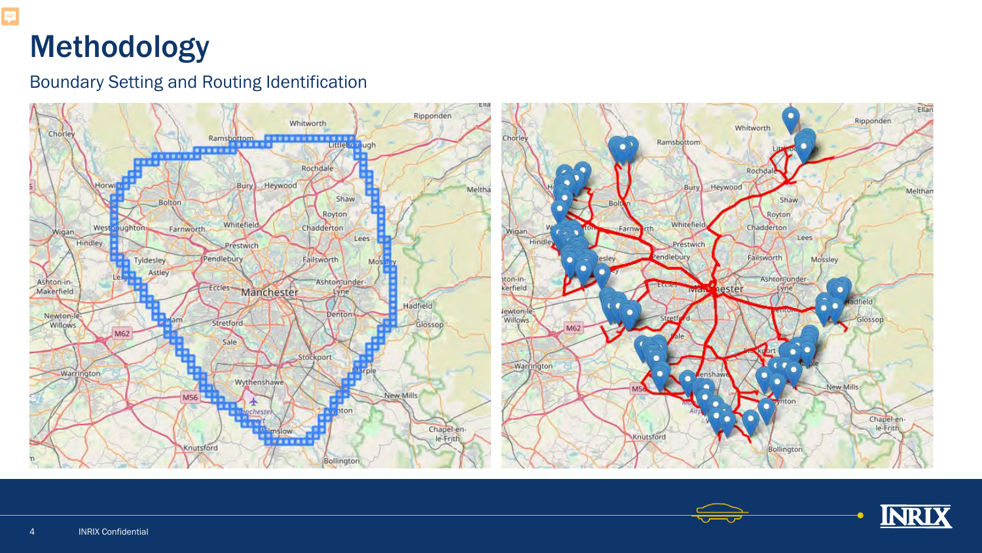# Methodology

F

#### Boundary Setting and Routing Identification



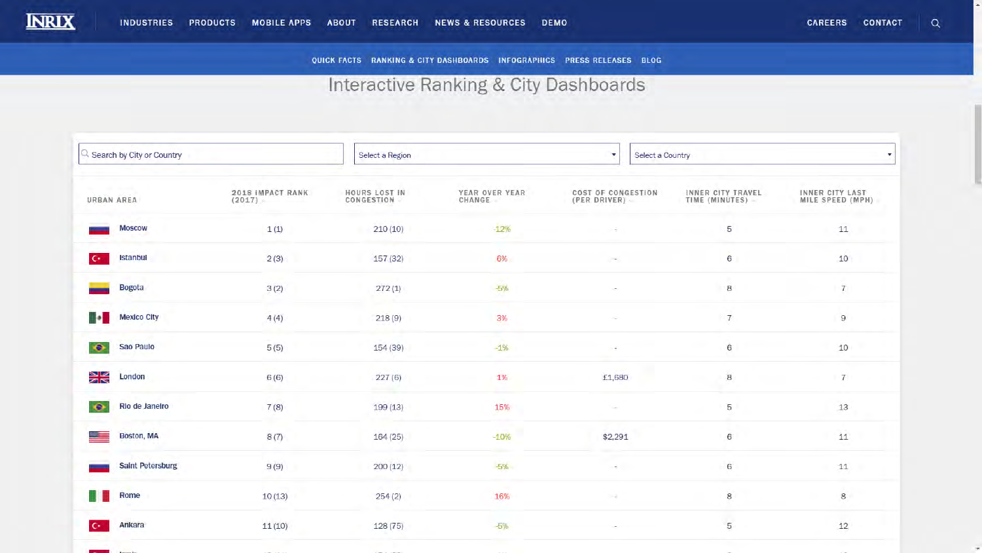

 $\mathsf Q$ CAREERS CONTACT

 $\overline{\phantom{a}}$ 

QUICK FACTS RANKING & CITY DASHBOARDS INFOGRAPHICS PRESS RELEASES BLOG

#### Interactive Ranking & City Dashboards

| 3 Search by City or Country     |                            | Select a Region             |                          | Select a Country<br>$\mathbf{v}$   |                                     |                                     |
|---------------------------------|----------------------------|-----------------------------|--------------------------|------------------------------------|-------------------------------------|-------------------------------------|
| <b>CONTRACTOR</b><br>URBAN AREA | 2018 IMPACT RANK<br>(2017) | HOURS LOST IN<br>CONGESTION | YEAR OVER YEAR<br>CHANGE | COST OF CONGESTION<br>(PER DRIVER) | INNER CITY TRAVEL<br>TIME (MINUTES) | INNER CITY LAST<br>MILE SPEED (MPH) |
| <b>Moscow</b>                   | 1(1)                       | 210(10)                     | $-12%$                   |                                    | 5                                   | 11                                  |
| Istanbul<br>$\mathbf{C}^*$      | 2(3)                       | 157(32)                     | 6%                       |                                    | $6\phantom{.}6$                     | 10                                  |
| <b>Bogota</b>                   | 3(2)                       | 272(1)                      | -5%                      |                                    | $\,$ 8                              | $\tau$                              |
| il o fi<br><b>Mexico City</b>   | 4(4)                       | 218(9)                      | 3%                       |                                    | $\tau$                              | $\mathsf g$                         |
| Sao Paulo<br>$\bullet$          | 5(5)                       | 154(39)                     | $-1%$                    |                                    | $6\,$                               | $10$                                |
| NK<br>NK<br>London              | 6(6)                       | 227(6)                      | 1%                       | £1,680                             | $\,8$                               | 7                                   |
| $\bullet$<br>Rio de Janeiro     | 7(8)                       | 199(13)                     | 15%                      | $\sim$                             | 5                                   | $13\,$                              |
| Boston, MA<br>$=$               | 8(7)                       | 164(25)                     | $-10%$                   | \$2,291                            | $\,6$                               | 11                                  |
| <b>Saint Petersburg</b>         | 9(9)                       | 200(12)                     | $-5%$                    | -3                                 | $\,$ 6 $\,$                         | $11\,$                              |
| Rome                            | 10(13)                     | 254(2)                      | يصر<br>16%               |                                    | $\,$ 8 $\,$                         | $\,$ 8 $\,$                         |
| Ankara<br>$\epsilon$            | 11(10)                     | 128(75)                     | $-5%$                    |                                    | $\,$ 5 $\,$                         | 12                                  |
| - 21                            |                            |                             |                          |                                    |                                     |                                     |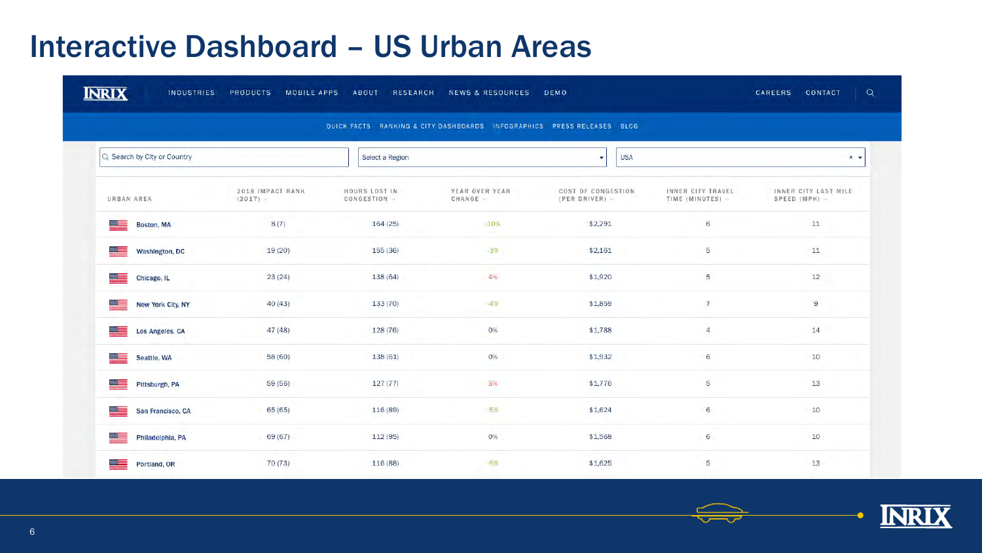# **Interactive Dashboard - US Urban Areas**

| Q Search by City or Country<br><b>USA</b><br>Select a Region<br>$x -$<br>2018 IMPACT RANK<br>HOURS LOST IN<br>YEAR OVER YEAR<br>COST OF CONGESTION<br>INNER CITY TRAVEL<br>INNER CITY LAST MILE<br>URBAN AREA<br><b>CHANGE</b><br>SPEED (MPH) =<br>$(2017)$ $-$<br>CONGESTION -<br>(PER DRIVER)<br>TIME (MINUTES)<br>\$2,291<br>11<br>كال<br>8(7)<br>164(25)<br>6<br>$-10%$<br><b>Boston, MA</b><br>5<br>11<br>$-3%$<br>19(20)<br>155(36)<br>\$2,161<br>ككو<br><b>Washington, DC</b><br>$\mathcal{L}$<br><b>A</b> com<br>$\frac{1}{2}$<br>23(24)<br>4%<br>\$1,920<br>5<br>$12\,$<br>138 (64)<br>Chicago, IL<br>$9\,$<br>\$1,859<br>$\overline{7}$<br>صل<br>40 (43)<br>133(70)<br>$-4%$<br>New York City, NY<br>$14$<br>$\overline{4}$<br>0%<br>\$1,788<br>47(48)<br>128(76)<br><u>n a</u><br>Los Angeles, CA<br>$\,$ 6 $\,$<br>$10$<br>트<br>0%<br>58 (60)<br>138(61)<br>\$1,932<br>Seattle, WA<br>13<br>59(56)<br>127(77)<br>5%<br>\$1,776<br>5<br><u>e est</u><br>Pittsburgh, PA<br>6<br>10<br>کال<br>65 (65)<br>116 (89)<br>$-5%$<br>\$1,624<br>San Francisco, CA<br>6<br>$10$<br>69 (67)<br>112(95)<br>0%<br>\$1,568<br>$\equiv$<br>Philadelphia, PA | QUICK FACTS RANKING & CITY DASHBOARDS INFOGRAPHICS PRESS RELEASES BLOG |  |  |  |  |  |  |  |  |  |
|---------------------------------------------------------------------------------------------------------------------------------------------------------------------------------------------------------------------------------------------------------------------------------------------------------------------------------------------------------------------------------------------------------------------------------------------------------------------------------------------------------------------------------------------------------------------------------------------------------------------------------------------------------------------------------------------------------------------------------------------------------------------------------------------------------------------------------------------------------------------------------------------------------------------------------------------------------------------------------------------------------------------------------------------------------------------------------------------------------------------------------------------------------|------------------------------------------------------------------------|--|--|--|--|--|--|--|--|--|
|                                                                                                                                                                                                                                                                                                                                                                                                                                                                                                                                                                                                                                                                                                                                                                                                                                                                                                                                                                                                                                                                                                                                                         |                                                                        |  |  |  |  |  |  |  |  |  |
|                                                                                                                                                                                                                                                                                                                                                                                                                                                                                                                                                                                                                                                                                                                                                                                                                                                                                                                                                                                                                                                                                                                                                         |                                                                        |  |  |  |  |  |  |  |  |  |
|                                                                                                                                                                                                                                                                                                                                                                                                                                                                                                                                                                                                                                                                                                                                                                                                                                                                                                                                                                                                                                                                                                                                                         |                                                                        |  |  |  |  |  |  |  |  |  |
|                                                                                                                                                                                                                                                                                                                                                                                                                                                                                                                                                                                                                                                                                                                                                                                                                                                                                                                                                                                                                                                                                                                                                         |                                                                        |  |  |  |  |  |  |  |  |  |
|                                                                                                                                                                                                                                                                                                                                                                                                                                                                                                                                                                                                                                                                                                                                                                                                                                                                                                                                                                                                                                                                                                                                                         |                                                                        |  |  |  |  |  |  |  |  |  |
|                                                                                                                                                                                                                                                                                                                                                                                                                                                                                                                                                                                                                                                                                                                                                                                                                                                                                                                                                                                                                                                                                                                                                         |                                                                        |  |  |  |  |  |  |  |  |  |
|                                                                                                                                                                                                                                                                                                                                                                                                                                                                                                                                                                                                                                                                                                                                                                                                                                                                                                                                                                                                                                                                                                                                                         |                                                                        |  |  |  |  |  |  |  |  |  |
|                                                                                                                                                                                                                                                                                                                                                                                                                                                                                                                                                                                                                                                                                                                                                                                                                                                                                                                                                                                                                                                                                                                                                         |                                                                        |  |  |  |  |  |  |  |  |  |
|                                                                                                                                                                                                                                                                                                                                                                                                                                                                                                                                                                                                                                                                                                                                                                                                                                                                                                                                                                                                                                                                                                                                                         |                                                                        |  |  |  |  |  |  |  |  |  |
|                                                                                                                                                                                                                                                                                                                                                                                                                                                                                                                                                                                                                                                                                                                                                                                                                                                                                                                                                                                                                                                                                                                                                         |                                                                        |  |  |  |  |  |  |  |  |  |
|                                                                                                                                                                                                                                                                                                                                                                                                                                                                                                                                                                                                                                                                                                                                                                                                                                                                                                                                                                                                                                                                                                                                                         |                                                                        |  |  |  |  |  |  |  |  |  |

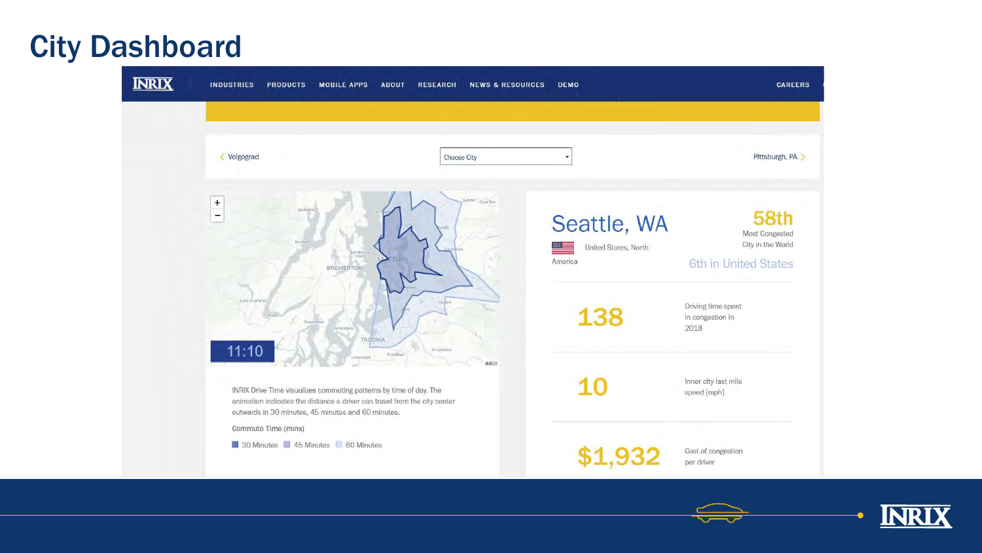## City Dashboard



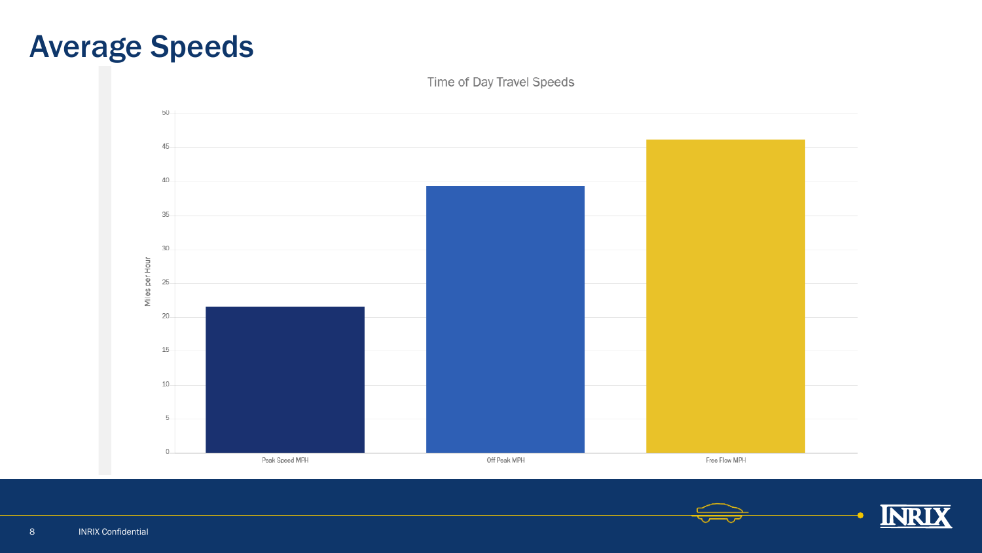



Time of Day Travel Speeds

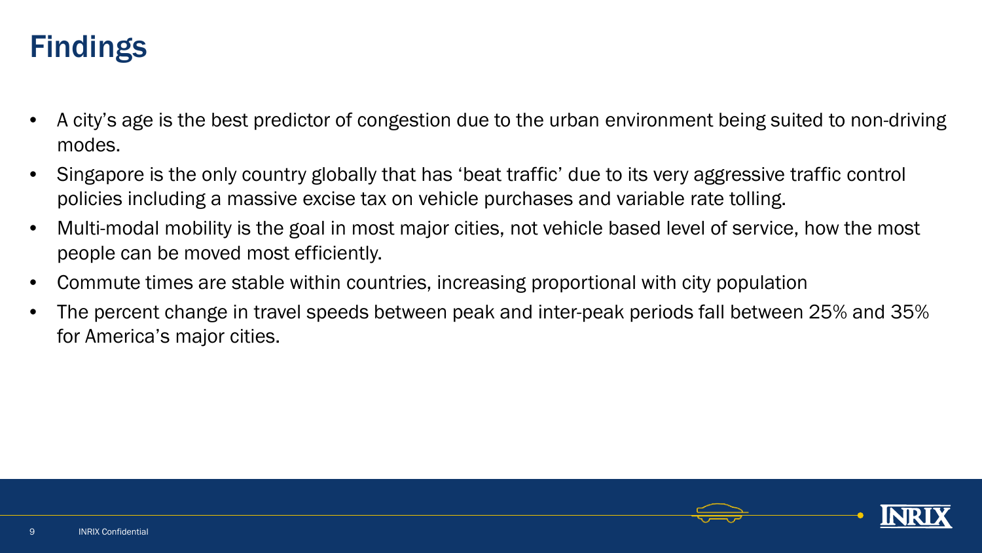## Findings

- A city's age is the best predictor of congestion due to the urban environment being suited to non-driving modes.
- Singapore is the only country globally that has 'beat traffic' due to its very aggressive traffic control policies including a massive excise tax on vehicle purchases and variable rate tolling.
- Multi-modal mobility is the goal in most major cities, not vehicle based level of service, how the most people can be moved most efficiently.
- Commute times are stable within countries, increasing proportional with city population
- The percent change in travel speeds between peak and inter-peak periods fall between 25% and 35% for America's major cities.

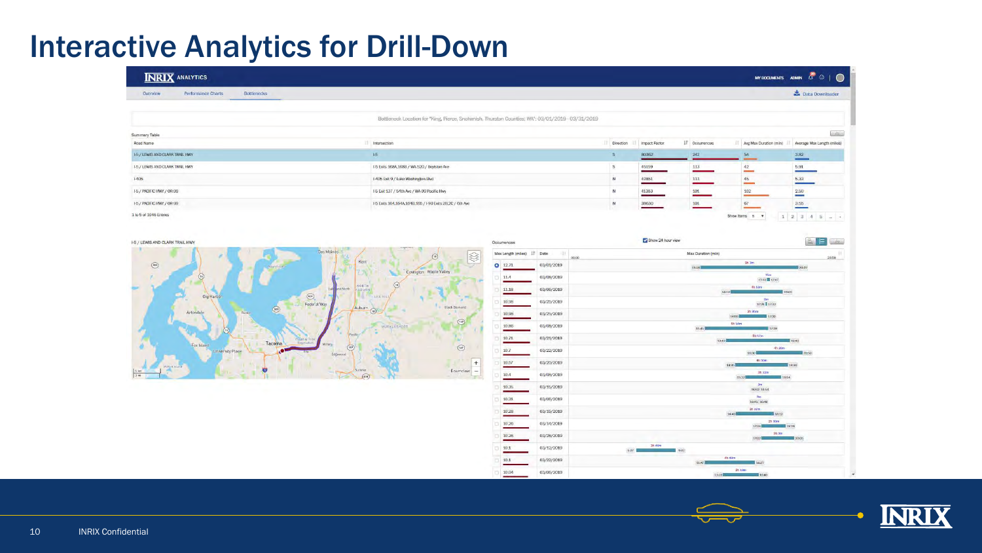## Interactive Analytics for Drill-Down

| Bottlenecks<br><b>Performance Charts</b><br>Overview |                                                                                                   |           |               |                 |                         | Data Downloader                     |
|------------------------------------------------------|---------------------------------------------------------------------------------------------------|-----------|---------------|-----------------|-------------------------|-------------------------------------|
|                                                      |                                                                                                   |           |               |                 |                         |                                     |
|                                                      | Bottleneck Location for "King, Pierce, Snohimish, Thurston Counties; WA": 03/01/2019 - 03/31/2019 |           |               |                 |                         |                                     |
| Summary Table                                        |                                                                                                   |           |               |                 |                         | $\sum_{i=1}^{N}$                    |
| Road Name                                            | Intersection                                                                                      | Direction | Impact Factor | 17 Occurrences  | Avg Max Duration (min)  | Average Max Length (miles)          |
| 1-5 / LEWIS AND CLARK TRAIL HWY                      | 15.                                                                                               |           | 80362         | 242             | 54<br><b>CONTRACTOR</b> | $\frac{3.82}{1}$                    |
| 1-5 / LEWIS AND CLARK TRAIL HWY                      | 1-5 Exits 168A,168B / WA-520 / Boylston Ave                                                       | S         | 45159         | $\frac{113}{1}$ | $\frac{42}{}$           | $\begin{array}{c} 5.91 \end{array}$ |
| $1-405$                                              | 1-405 Exit 9 / Lake Washington Blvd                                                               | N         | 42851         | 111             | $\frac{45}{1}$          | $\begin{array}{c} 5.33 \end{array}$ |
| 1-5 / PACIFIC HWY / OR-99                            | I-5 Exit 137 / 54th Ave / WA-99 Pacific Hwy                                                       | N         | 41383         | 101             | 102<br>$\sim$           | 2.50                                |
| 1-5 / PACIFIC HWY / OR-99                            | 1-5 Exits 164,164A,164B,165 / 1-90 Exits 2B,2C / 6th Ave                                          | N         | 38630         | 101             | 67                      | 3.55                                |